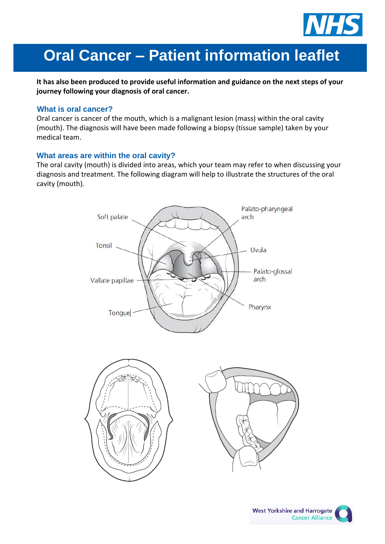

# **Oral Cancer – Patient information leaflet**

**It has also been produced to provide useful information and guidance on the next steps of your journey following your diagnosis of oral cancer.**

#### **What is oral cancer?**

Oral cancer is cancer of the mouth, which is a malignant lesion (mass) within the oral cavity (mouth). The diagnosis will have been made following a biopsy (tissue sample) taken by your medical team.

#### **What areas are within the oral cavity?**

The oral cavity (mouth) is divided into areas, which your team may refer to when discussing your diagnosis and treatment. The following diagram will help to illustrate the structures of the oral cavity (mouth).





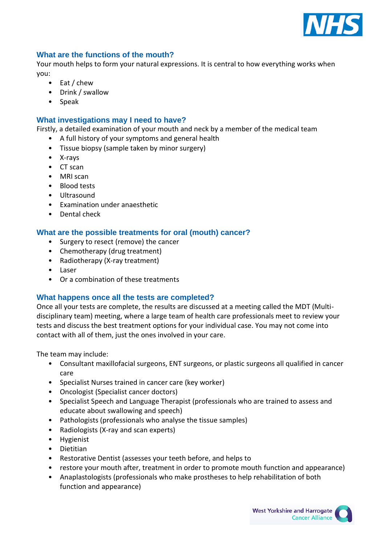

### **What are the functions of the mouth?**

Your mouth helps to form your natural expressions. It is central to how everything works when you:

- Eat / chew
- Drink / swallow
- Speak

### **What investigations may I need to have?**

Firstly, a detailed examination of your mouth and neck by a member of the medical team

- A full history of your symptoms and general health
- Tissue biopsy (sample taken by minor surgery)
- X-rays
- CT scan
- MRI scan
- Blood tests
- Ultrasound
- Examination under anaesthetic
- Dental check

## **What are the possible treatments for oral (mouth) cancer?**

- Surgery to resect (remove) the cancer
- Chemotherapy (drug treatment)
- Radiotherapy (X-ray treatment)
- Laser
- Or a combination of these treatments

## **What happens once all the tests are completed?**

Once all your tests are complete, the results are discussed at a meeting called the MDT (Multidisciplinary team) meeting, where a large team of health care professionals meet to review your tests and discuss the best treatment options for your individual case. You may not come into contact with all of them, just the ones involved in your care.

The team may include:

- Consultant maxillofacial surgeons, ENT surgeons, or plastic surgeons all qualified in cancer care
- Specialist Nurses trained in cancer care (key worker)
- Oncologist (Specialist cancer doctors)
- Specialist Speech and Language Therapist (professionals who are trained to assess and educate about swallowing and speech)
- Pathologists (professionals who analyse the tissue samples)
- Radiologists (X-ray and scan experts)
- Hygienist
- Dietitian
- Restorative Dentist (assesses your teeth before, and helps to
- restore your mouth after, treatment in order to promote mouth function and appearance)
- Anaplastologists (professionals who make prostheses to help rehabilitation of both function and appearance)